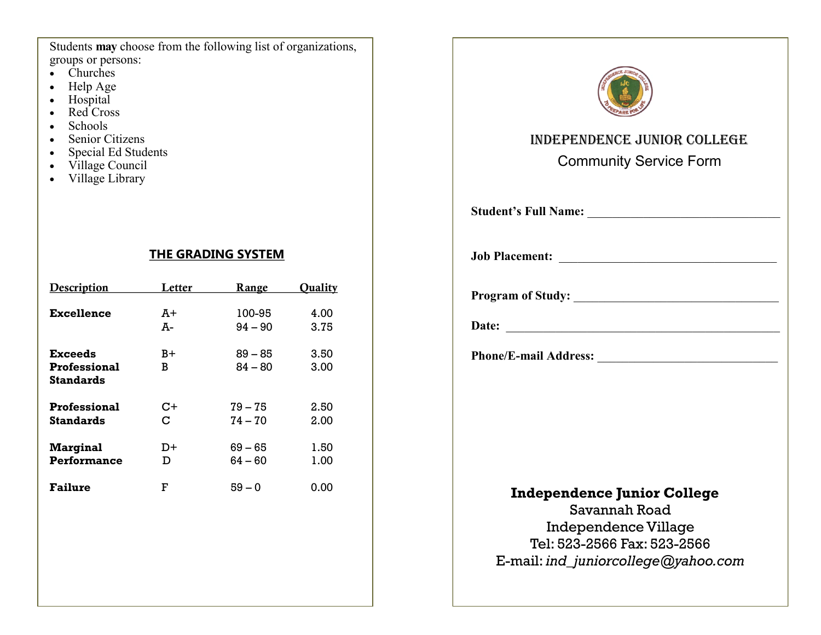Students **may** choose from the following list of organizations, groups or persons:

- Churches
- Help Age
- Hospital
- Red Cross
- Schools
- Senior Citizens
- Special Ed Students
- Village Council
- Village Library

## **THE GRADING SYSTEM**

| <b>Description</b>                                        | Letter   | <b>Range</b>           | <b>Ouality</b> |
|-----------------------------------------------------------|----------|------------------------|----------------|
| <b>Excellence</b>                                         | A+<br>A- | 100-95<br>$94 - 90$    | 4.00<br>3.75   |
| <b>Exceeds</b><br><b>Professional</b><br><b>Standards</b> | B+<br>B  | $89 - 85$<br>$84 - 80$ | 3.50<br>3.00   |
| <b>Professional</b><br><b>Standards</b>                   | C+<br>C  | $79 - 75$<br>$74 - 70$ | 2.50<br>2.00   |
| <b>Marginal</b><br>Performance                            | D+<br>D  | $69 - 65$<br>$64 - 60$ | 1.50<br>1.00   |
| <b>Failure</b>                                            | F        | $59 - 0$               | 0.00           |
|                                                           |          |                        |                |
|                                                           |          |                        |                |



## Independence Junior College

Community Service Form

 **Student's Full Name:** \_\_\_\_\_\_\_\_\_\_\_\_\_\_\_\_\_\_\_\_\_\_\_\_\_\_\_\_\_\_\_

**Job Placement:** \_\_\_\_\_\_\_\_\_\_\_\_\_\_\_\_\_\_\_\_\_\_\_\_\_\_\_\_\_\_\_\_\_\_\_

 **Program of Study:** \_\_\_\_\_\_\_\_\_\_\_\_\_\_\_\_\_\_\_\_\_\_\_\_\_\_\_\_\_\_\_\_\_

 **Date:** \_\_\_\_\_\_\_\_\_\_\_\_\_\_\_\_\_\_\_\_\_\_\_\_\_\_\_\_\_\_\_\_\_\_\_\_\_\_\_\_\_\_\_\_

 **Phone/E-mail Address:** \_\_\_\_\_\_\_\_\_\_\_\_\_\_\_\_\_\_\_\_\_\_\_\_\_\_\_\_\_

## **Independence Junior College**

Savannah Road Independence Village Tel: 523-2566 Fax: 523-2566 E-mail: *ind\_juniorcollege@yahoo.com*